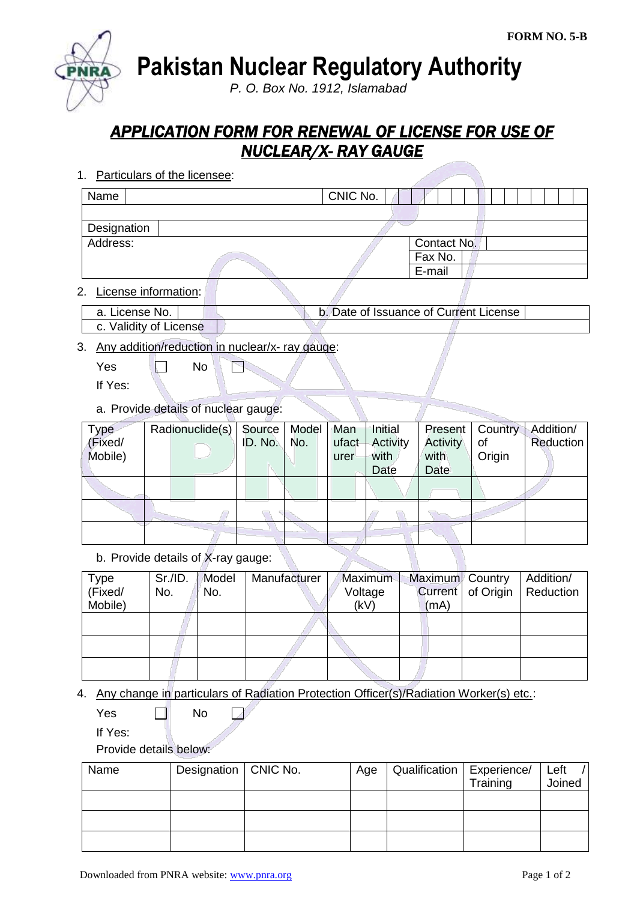**Pakistan Nuclear Regulatory Authority**

*P. O. Box No. 1912, Islamabad*

## *APPLICATION FORM FOR RENEWAL OF LICENSE FOR USE OF NUCLEAR/X- RAY GAUGE*

1. Particulars of the licensee:

| Name        |  | CNIC No. |  |             |  |  |  |  |  |  |
|-------------|--|----------|--|-------------|--|--|--|--|--|--|
|             |  |          |  |             |  |  |  |  |  |  |
| Designation |  |          |  |             |  |  |  |  |  |  |
| Address:    |  |          |  | Contact No. |  |  |  |  |  |  |
|             |  |          |  | Fax No.     |  |  |  |  |  |  |
|             |  |          |  | E-mail      |  |  |  |  |  |  |
| .           |  |          |  |             |  |  |  |  |  |  |

2. License information:

| a. License No.         | b. Date of Issuance of Current License |  |
|------------------------|----------------------------------------|--|
| c. Validity of License |                                        |  |

3. Any addition/reduction in nuclear/x- ray gauge:

 $Yes \t N$ P

If Yes:

a. Provide details of nuclear gauge:

| <b>Type</b> | Radionuclide(s)   Source |         | Model   Man |       | Initial  |          | Present   Country | Addition/ |
|-------------|--------------------------|---------|-------------|-------|----------|----------|-------------------|-----------|
| (Fixed/     |                          | ID. No. | No.         | ufact | Activity | Activity | οf                | Reduction |
| Mobile)     |                          |         |             | urer  | with     | with     | Origin            |           |
|             |                          |         |             |       | Date     | Date     |                   |           |
|             |                          |         |             |       |          |          |                   |           |
|             |                          |         |             |       |          |          |                   |           |
|             |                          |         |             |       |          |          |                   |           |

b. Provide details of X-ray gauge:

| <b>Type</b><br>(Fixed/ | Sr.I.D.<br>No. | Model<br>No. | Manufacturer | <b>Maximum</b><br>Voltage | Maximum Country | Current   of Origin | Addition/<br><b>Reduction</b> |
|------------------------|----------------|--------------|--------------|---------------------------|-----------------|---------------------|-------------------------------|
| Mobile)                |                |              |              | (kV)                      | (mA)            |                     |                               |
|                        |                |              |              |                           |                 |                     |                               |
|                        |                |              |              |                           |                 |                     |                               |
|                        |                |              |              |                           |                 |                     |                               |

- 4. Any change in particulars of Radiation Protection Officer(s)/Radiation Worker(s) etc.:
	- $Yes \t\t \Box$  No Г.

If Yes:

Provide details below:

| Name | Designation   CNIC No. | Age | Qualification   Experience/ |          | Left   |
|------|------------------------|-----|-----------------------------|----------|--------|
|      |                        |     |                             | Training | Joined |
|      |                        |     |                             |          |        |
|      |                        |     |                             |          |        |
|      |                        |     |                             |          |        |
|      |                        |     |                             |          |        |